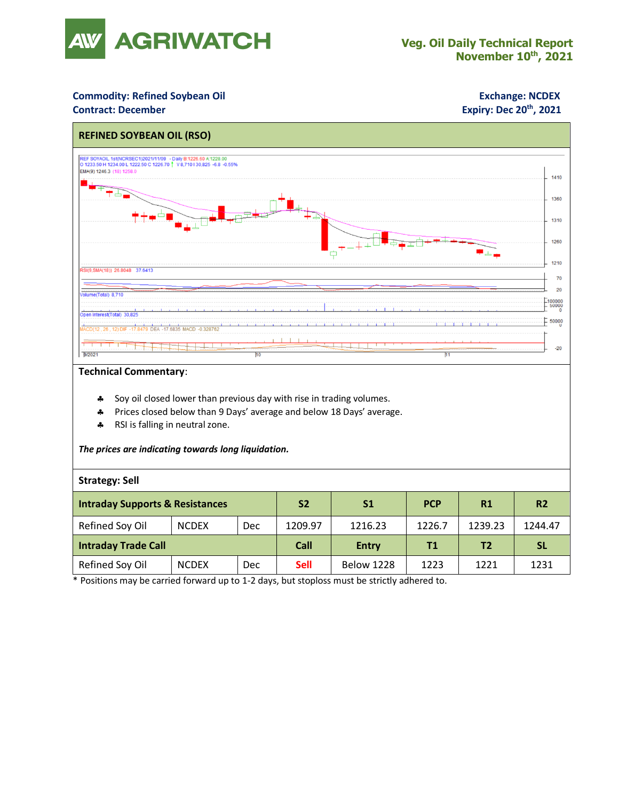

### **Commodity: Refined Soybean Oil <b>Exchange: NCDEX**

### **Contract: December**

# **Expiry: Dec 20<sup>th</sup>, 2021**



#### **Technical Commentary**:

- **Soy oil closed lower than previous day with rise in trading volumes.**
- Prices closed below than 9 Days' average and below 18 Days' average.
- \* RSI is falling in neutral zone.

#### *The prices are indicating towards long liquidation.*

#### **Strategy: Sell**

| <b>Intraday Supports &amp; Resistances</b> |              |     | S <sub>2</sub> | S <sub>1</sub>    | <b>PCP</b> | R1             | R <sub>2</sub> |
|--------------------------------------------|--------------|-----|----------------|-------------------|------------|----------------|----------------|
| Refined Soy Oil                            | <b>NCDEX</b> | Dec | 1209.97        | 1216.23           | 1226.7     | 1239.23        | 1244.47        |
| Intraday Trade Call                        |              |     | Call           | <b>Entry</b>      | Τ1         | T <sub>2</sub> | <b>SL</b>      |
| Refined Soy Oil                            | <b>NCDEX</b> | Dec | <b>Sell</b>    | <b>Below 1228</b> | 1223       | 1221           | 1231           |

\* Positions may be carried forward up to 1-2 days, but stoploss must be strictly adhered to.